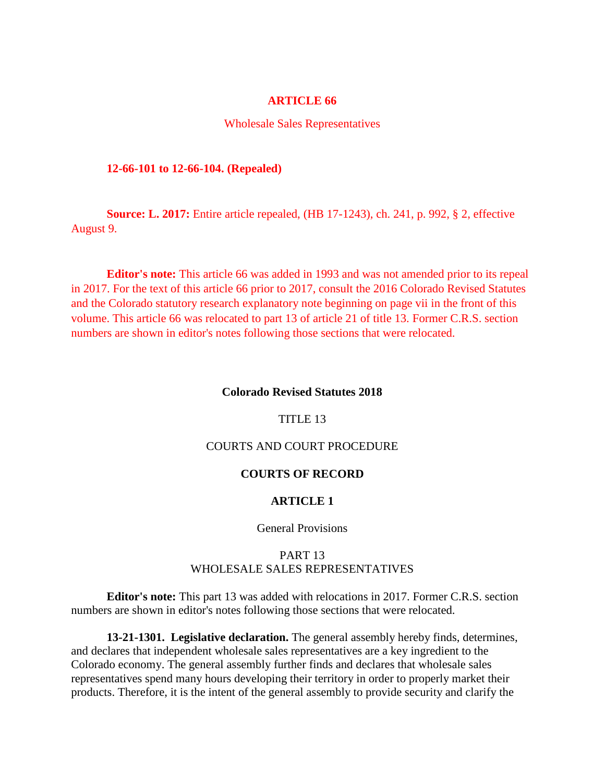## **ARTICLE 66**

#### Wholesale Sales Representatives

### **12-66-101 to 12-66-104. (Repealed)**

**Source: L. 2017:** Entire article repealed, (HB 17-1243), ch. 241, p. 992, § 2, effective August 9.

**Editor's note:** This article 66 was added in 1993 and was not amended prior to its repeal in 2017. For the text of this article 66 prior to 2017, consult the 2016 Colorado Revised Statutes and the Colorado statutory research explanatory note beginning on page vii in the front of this volume. This article 66 was relocated to part 13 of article 21 of title 13. Former C.R.S. section numbers are shown in editor's notes following those sections that were relocated.

#### **Colorado Revised Statutes 2018**

## TITLE 13

# COURTS AND COURT PROCEDURE

## **COURTS OF RECORD**

## **ARTICLE 1**

## General Provisions

## PART 13 WHOLESALE SALES REPRESENTATIVES

**Editor's note:** This part 13 was added with relocations in 2017. Former C.R.S. section numbers are shown in editor's notes following those sections that were relocated.

**13-21-1301. Legislative declaration.** The general assembly hereby finds, determines, and declares that independent wholesale sales representatives are a key ingredient to the Colorado economy. The general assembly further finds and declares that wholesale sales representatives spend many hours developing their territory in order to properly market their products. Therefore, it is the intent of the general assembly to provide security and clarify the